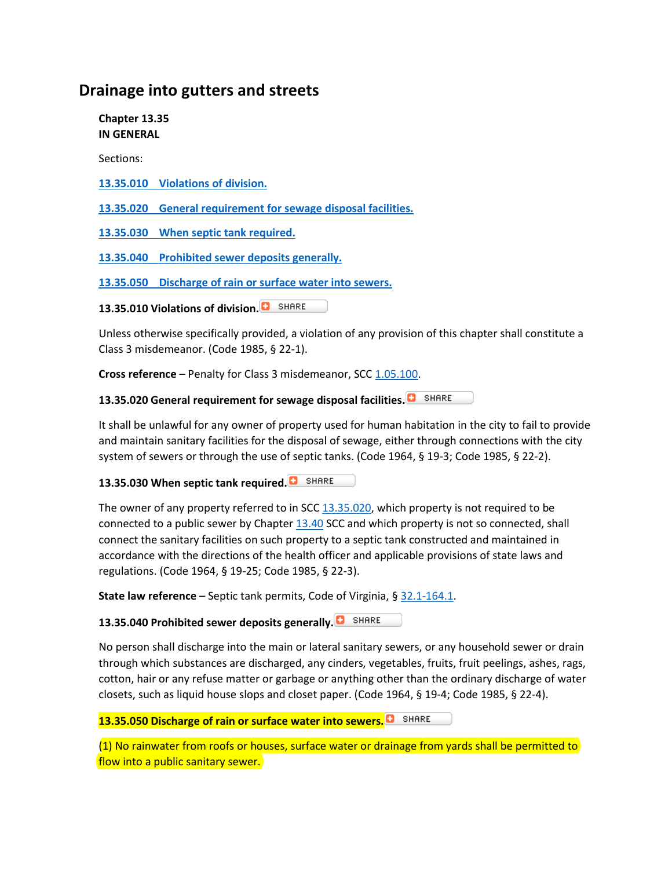## **Drainage into gutters and streets**

**Chapter 13.35 IN GENERAL**

Sections:

**[13.35.010 Violations of division.](https://www.codepublishing.com/VA/Staunton/#!/Staunton13/Staunton1335.html#13.35.010)**

**[13.35.020 General requirement for sewage disposal facilities.](https://www.codepublishing.com/VA/Staunton/#!/Staunton13/Staunton1335.html#13.35.020)**

**[13.35.030 When septic tank required.](https://www.codepublishing.com/VA/Staunton/#!/Staunton13/Staunton1335.html#13.35.030)**

**[13.35.040 Prohibited sewer deposits generally.](https://www.codepublishing.com/VA/Staunton/#!/Staunton13/Staunton1335.html#13.35.040)**

**[13.35.050 Discharge of rain or surface water into sewers.](https://www.codepublishing.com/VA/Staunton/#!/Staunton13/Staunton1335.html#13.35.050)**

**13.35.010 Violations of division.**

Unless otherwise specifically provided, a violation of any provision of this chapter shall constitute a Class 3 misdemeanor. (Code 1985, § 22-1).

**Cross reference** – Penalty for Class 3 misdemeanor, SCC [1.05.100.](https://www.codepublishing.com/VA/Staunton/#!/Staunton01/Staunton0105.html#1.05.100)

**13.35.020 General requirement for sewage disposal facilities.**

It shall be unlawful for any owner of property used for human habitation in the city to fail to provide and maintain sanitary facilities for the disposal of sewage, either through connections with the city system of sewers or through the use of septic tanks. (Code 1964, § 19-3; Code 1985, § 22-2).

**13.35.030 When septic tank required.**

The owner of any property referred to in SCC  $13.35.020$ , which property is not required to be connected to a public sewer by Chapter [13.40](https://www.codepublishing.com/VA/Staunton/#!/Staunton13/Staunton1340.html#13.40) SCC and which property is not so connected, shall connect the sanitary facilities on such property to a septic tank constructed and maintained in accordance with the directions of the health officer and applicable provisions of state laws and regulations. (Code 1964, § 19-25; Code 1985, § 22-3).

**State law reference** – Septic tank permits, Code of Virginia, § [32.1-164.1.](http://law.lis.virginia.gov/vacode/title32.1/section32.1-164.1/)

**13.35.040 Prohibited sewer deposits generally.**

No person shall discharge into the main or lateral sanitary sewers, or any household sewer or drain through which substances are discharged, any cinders, vegetables, fruits, fruit peelings, ashes, rags, cotton, hair or any refuse matter or garbage or anything other than the ordinary discharge of water closets, such as liquid house slops and closet paper. (Code 1964, § 19-4; Code 1985, § 22-4).

**13.35.050 Discharge of rain or surface water into sewers.**

(1) No rainwater from roofs or houses, surface water or drainage from yards shall be permitted to flow into a public sanitary sewer.